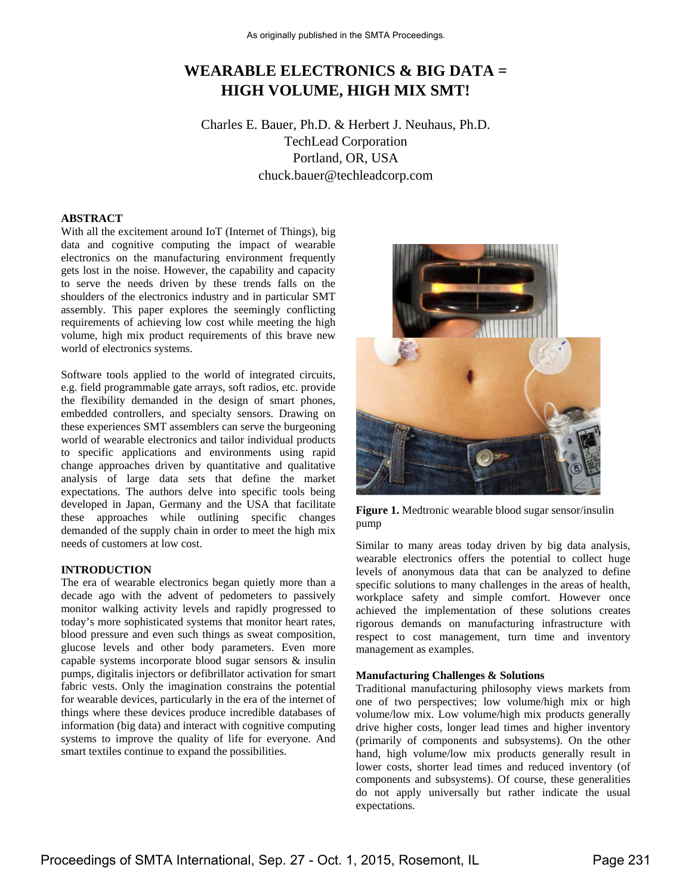# **WEARABLE ELECTRONICS & BIG DATA = HIGH VOLUME, HIGH MIX SMT!**

Charles E. Bauer, Ph.D. & Herbert J. Neuhaus, Ph.D. TechLead Corporation Portland, OR, USA chuck.bauer@techleadcorp.com

## **ABSTRACT**

With all the excitement around IoT (Internet of Things), big data and cognitive computing the impact of wearable electronics on the manufacturing environment frequently gets lost in the noise. However, the capability and capacity to serve the needs driven by these trends falls on the shoulders of the electronics industry and in particular SMT assembly. This paper explores the seemingly conflicting requirements of achieving low cost while meeting the high volume, high mix product requirements of this brave new world of electronics systems.

Software tools applied to the world of integrated circuits, e.g. field programmable gate arrays, soft radios, etc. provide the flexibility demanded in the design of smart phones, embedded controllers, and specialty sensors. Drawing on these experiences SMT assemblers can serve the burgeoning world of wearable electronics and tailor individual products to specific applications and environments using rapid change approaches driven by quantitative and qualitative analysis of large data sets that define the market expectations. The authors delve into specific tools being developed in Japan, Germany and the USA that facilitate these approaches while outlining specific changes demanded of the supply chain in order to meet the high mix needs of customers at low cost.

### **INTRODUCTION**

The era of wearable electronics began quietly more than a decade ago with the advent of pedometers to passively monitor walking activity levels and rapidly progressed to today's more sophisticated systems that monitor heart rates, blood pressure and even such things as sweat composition, glucose levels and other body parameters. Even more capable systems incorporate blood sugar sensors & insulin pumps, digitalis injectors or defibrillator activation for smart fabric vests. Only the imagination constrains the potential for wearable devices, particularly in the era of the internet of things where these devices produce incredible databases of information (big data) and interact with cognitive computing systems to improve the quality of life for everyone. And smart textiles continue to expand the possibilities.



**Figure 1.** Medtronic wearable blood sugar sensor/insulin pump

Similar to many areas today driven by big data analysis, wearable electronics offers the potential to collect huge levels of anonymous data that can be analyzed to define specific solutions to many challenges in the areas of health, workplace safety and simple comfort. However once achieved the implementation of these solutions creates rigorous demands on manufacturing infrastructure with respect to cost management, turn time and inventory management as examples.

#### **Manufacturing Challenges & Solutions**

Traditional manufacturing philosophy views markets from one of two perspectives; low volume/high mix or high volume/low mix. Low volume/high mix products generally drive higher costs, longer lead times and higher inventory (primarily of components and subsystems). On the other hand, high volume/low mix products generally result in lower costs, shorter lead times and reduced inventory (of components and subsystems). Of course, these generalities do not apply universally but rather indicate the usual expectations.